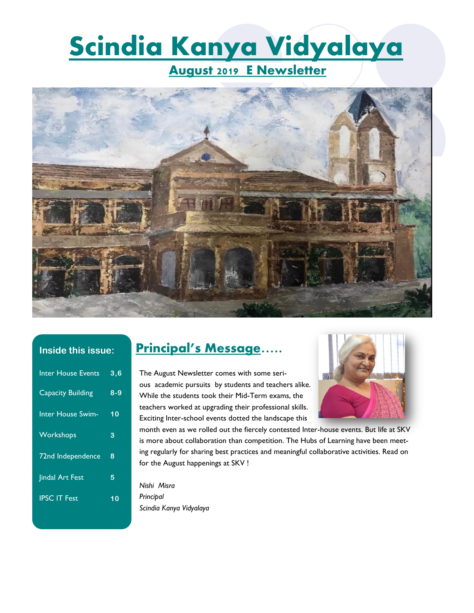# **Scindia Kanya Vidyalaya**

**August 2019 E Newsletter**



#### **Inside this issue:**

| <b>Inter House Events</b> | $3,\overline{6}$ |
|---------------------------|------------------|
| <b>Capacity Building</b>  | $8 - 9$          |
| <b>Inter House Swim-</b>  | 10               |
| Workshops                 | 3                |
| 72nd Independence         | 8                |
| <b>Jindal Art Fest</b>    | 5                |
| <b>IPSC IT Fest</b>       | 10               |
|                           |                  |

# **Principal's Message…..**

The August Newsletter comes with some serious academic pursuits by students and teachers alike. While the students took their Mid-Term exams, the teachers worked at upgrading their professional skills. Exciting Inter-school events dotted the landscape this



month even as we rolled out the fiercely contested Inter-house events. But life at SKV is more about collaboration than competition. The Hubs of Learning have been meeting regularly for sharing best practices and meaningful collaborative activities. Read on for the August happenings at SKV !

*Nishi Misra Principal Scindia Kanya Vidyalaya*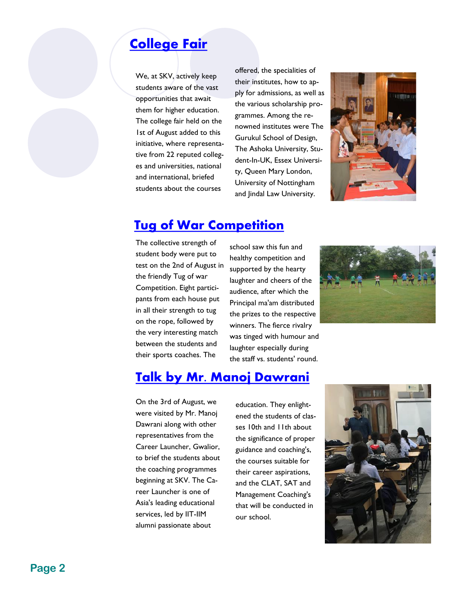# **[College Fair](http://www.skvgwalior.org/news-coverage2019.php#collapse-3)**

We, at SKV, actively keep students aware of the vast opportunities that await them for higher education. The college fair held on the 1st of August added to this initiative, where representative from 22 reputed colleges and universities, national and international, briefed students about the courses

offered, the specialities of their institutes, how to apply for admissions, as well as the various scholarship programmes. Among the renowned institutes were The Gurukul School of Design, The Ashoka University, Student-In-UK, Essex University, Queen Mary London, University of Nottingham and Jindal Law University.



#### **[Tug of War Competition](http://www.skvgwalior.org/news-coverage2019.php#collapse-3)**

The collective strength of student body were put to test on the 2nd of August in the friendly Tug of war Competition. Eight participants from each house put in all their strength to tug on the rope, followed by the very interesting match between the students and their sports coaches. The

school saw this fun and healthy competition and supported by the hearty laughter and cheers of the audience, after which the Principal ma'am distributed the prizes to the respective winners. The fierce rivalry was tinged with humour and laughter especially during the staff vs. students' round.



## **[Talk by Mr. Manoj Dawrani](http://www.skvgwalior.org/news-coverage2019.php#collapse-3)**

On the 3rd of August, we were visited by Mr. Manoj Dawrani along with other representatives from the Career Launcher, Gwalior, to brief the students about the coaching programmes beginning at SKV. The Career Launcher is one of Asia's leading educational services, led by IIT-IIM alumni passionate about

education. They enlightened the students of classes 10th and 11th about the significance of proper guidance and coaching's, the courses suitable for their career aspirations, and the CLAT, SAT and Management Coaching's that will be conducted in our school.

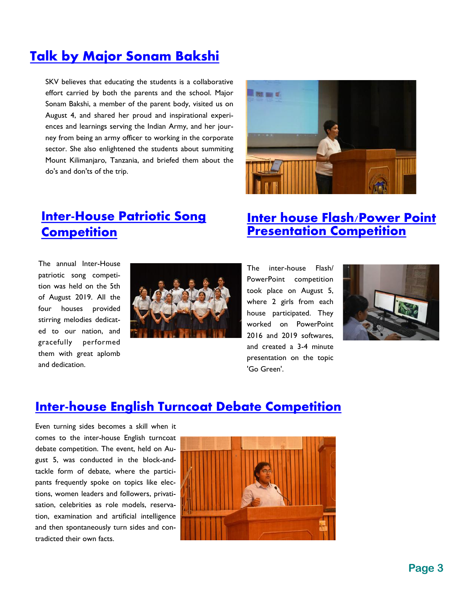# **[Talk by Major Sonam Bakshi](http://www.skvgwalior.org/news-coverage2019.php#collapse-3)**

SKV believes that educating the students is a collaborative effort carried by both the parents and the school. Major Sonam Bakshi, a member of the parent body, visited us on August 4, and shared her proud and inspirational experiences and learnings serving the Indian Army, and her journey from being an army officer to working in the corporate sector. She also enlightened the students about summiting Mount Kilimanjaro, Tanzania, and briefed them about the do's and don'ts of the trip.



# **[Inter-House Patriotic Song](http://www.skvgwalior.org/news-coverage2019.php#collapse-3)  [Competition](http://www.skvgwalior.org/news-coverage2019.php#collapse-3)**

The annual Inter-House patriotic song competition was held on the 5th of August 2019. All the four houses provided stirring melodies dedicated to our nation, and gracefully performed them with great aplomb and dedication.



#### **[Inter house Flash/Power Point](http://www.skvgwalior.org/news-coverage2019.php#collapse-3)  [Presentation Competition](http://www.skvgwalior.org/news-coverage2019.php#collapse-3)**

The inter-house Flash/ PowerPoint competition took place on August 5, where 2 girls from each house participated. They worked on PowerPoint 2016 and 2019 softwares, and created a 3-4 minute presentation on the topic 'Go Green'.



#### **[Inter-house English Turncoat Debate Competition](http://www.skvgwalior.org/news-coverage2019.php#collapse-3)**

Even turning sides becomes a skill when it comes to the inter-house English turncoat debate competition. The event, held on August 5, was conducted in the block-andtackle form of debate, where the participants frequently spoke on topics like elections, women leaders and followers, privatisation, celebrities as role models, reservation, examination and artificial intelligence and then spontaneously turn sides and contradicted their own facts.

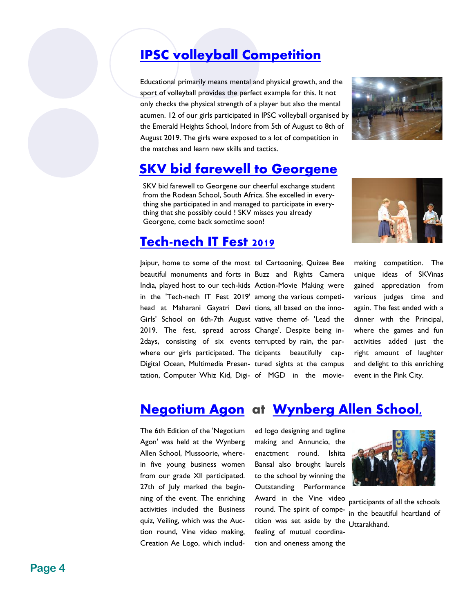# **[IPSC volleyball Competition](http://www.skvgwalior.org/news-coverage2019.php#collapse-3)**

Educational primarily means mental and physical growth, and the sport of volleyball provides the perfect example for this. It not only checks the physical strength of a player but also the mental acumen. 12 of our girls participated in IPSC volleyball organised by the Emerald Heights School, Indore from 5th of August to 8th of August 2019. The girls were exposed to a lot of competition in the matches and learn new skills and tactics.



# **SKV bid farewell to Georgene**

SKV bid farewell to Georgene our cheerful exchange student from the Rodean School, South Africa. She excelled in everything she participated in and managed to participate in everything that she possibly could ! SKV misses you already Georgene, come back sometime soon!

## **[Tech-nech IT Fest 2019](http://www.skvgwalior.org/news-coverage2019.php#collapse-3)**

Jaipur, home to some of the most tal Cartooning, Quizee Bee beautiful monuments and forts in Buzz and Rights Camera India, played host to our tech-kids Action-Movie Making were in the 'Tech-nech IT Fest 2019' among the various competihead at Maharani Gayatri Devi tions, all based on the inno-Girls' School on 6th-7th August vative theme of- 'Lead the 2019. The fest, spread across Change'. Despite being in-2days, consisting of six events terrupted by rain, the parwhere our girls participated. The ticipants beautifully cap-Digital Ocean, Multimedia Presen- tured sights at the campus tation, Computer Whiz Kid, Digi- of MGD in the movie-



making competition. The unique ideas of SKVinas gained appreciation from various judges time and again. The fest ended with a dinner with the Principal, where the games and fun activities added just the right amount of laughter and delight to this enriching event in the Pink City.

# **[Negotium Agon](http://www.skvgwalior.org/news-coverage2019.php#collapse-3) at [Wynberg Allen School,](http://www.skvgwalior.org/news-coverage2019.php#)**

The 6th Edition of the 'Negotium Agon' was held at the Wynberg Allen School, Mussoorie, wherein five young business women from our grade XII participated. 27th of July marked the beginning of the event. The enriching activities included the Business quiz, Veiling, which was the Auction round, Vine video making, Creation Ae Logo, which includ-

tition was set aside by the Uttarakhand. ed logo designing and tagline making and Annuncio, the enactment round. Ishita Bansal also brought laurels to the school by winning the Outstanding Performance Award in the Vine video round. The spirit of compefeeling of mutual coordination and oneness among the



participants of all the schools in the beautiful heartland of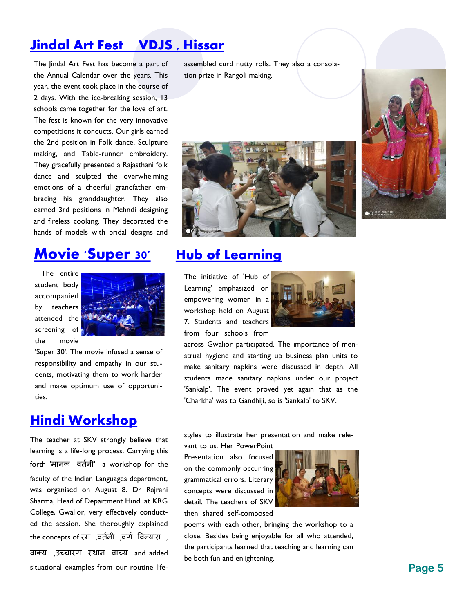# **[Jindal Art Fest](http://www.skvgwalior.org/news-coverage2019.php#collapse-3) VDJS , Hissar**

The Jindal Art Fest has become a part of the Annual Calendar over the years. This year, the event took place in the course of 2 days. With the ice-breaking session, 13 schools came together for the love of art. The fest is known for the very innovative competitions it conducts. Our girls earned the 2nd position in Folk dance, Sculpture making, and Table-runner embroidery. They gracefully presented a Rajasthani folk dance and sculpted the overwhelming emotions of a cheerful grandfather embracing his granddaughter. They also earned 3rd positions in Mehndi designing and fireless cooking. They decorated the hands of models with bridal designs and

# **[Movie 'Super 30'](http://www.skvgwalior.org/news-coverage2019.php#collapse-3)**

The entire student body accompanied by teachers attended the screening of the movie



'Super 30'. The movie infused a sense of responsibility and empathy in our students, motivating them to work harder and make optimum use of opportunities.

## **[Hindi Workshop](http://www.skvgwalior.org/news-coverage2019.php#collapse-3)**

The teacher at SKV strongly believe that learning is a life-long process. Carrying this forth 'मानक वर्तनी' a workshop for the faculty of the Indian Languages department, was organised on August 8. Dr Rajrani Sharma, Head of Department Hindi at KRG College, Gwalior, very effectively conducted the session. She thoroughly explained the concepts of रस ,वर्तनी ,वर्त ववन्यास , वाक्य ,उच्चारर् स्थान वाच्य and added

situational examples from our routine life-

assembled curd nutty rolls. They also a consolation prize in Rangoli making.





#### **[Hub of Learning](http://www.skvgwalior.org/news-coverage2019.php#collapse-3)**

The initiative of 'Hub of Learning' emphasized on empowering women in a workshop held on August 7. Students and teachers from four schools from



across Gwalior participated. The importance of menstrual hygiene and starting up business plan units to make sanitary napkins were discussed in depth. All students made sanitary napkins under our project 'Sankalp'. The event proved yet again that as the 'Charkha' was to Gandhiji, so is 'Sankalp' to SKV.

styles to illustrate her presentation and make rele-

vant to us. Her PowerPoint Presentation also focused on the commonly occurring grammatical errors. Literary concepts were discussed in detail. The teachers of SKV then shared self-composed



poems with each other, bringing the workshop to a close. Besides being enjoyable for all who attended, the participants learned that teaching and learning can be both fun and enlightening.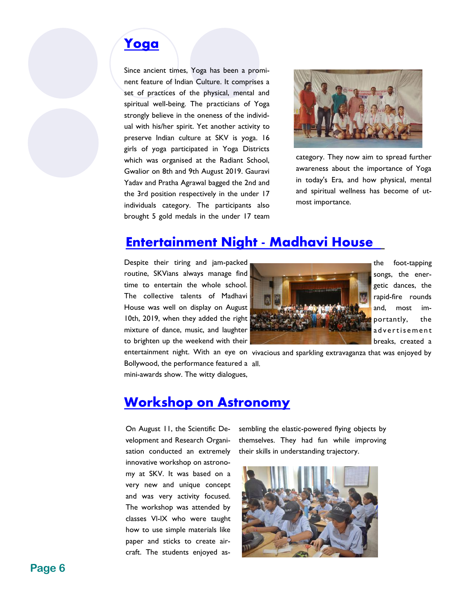# **[Yoga](http://www.skvgwalior.org/news-coverage2019.php#collapse-3)**

Since ancient times, Yoga has been a prominent feature of Indian Culture. It comprises a set of practices of the physical, mental and spiritual well-being. The practicians of Yoga strongly believe in the oneness of the individual with his/her spirit. Yet another activity to preserve Indian culture at SKV is yoga. 16 girls of yoga participated in Yoga Districts which was organised at the Radiant School, Gwalior on 8th and 9th August 2019. Gauravi Yadav and Pratha Agrawal bagged the 2nd and the 3rd position respectively in the under 17 individuals category. The participants also brought 5 gold medals in the under 17 team



category. They now aim to spread further awareness about the importance of Yoga in today's Era, and how physical, mental and spiritual wellness has become of utmost importance.

## **Entertainment Night - Madhavi House**

Despite their tiring and jam-packed routine, SKVians always manage find time to entertain the whole school. The collective talents of Madhavi House was well on display on August 10th, 2019, when they added the right mixture of dance, music, and laughter to brighten up the weekend with their

mini-awards show. The witty dialogues,

the foot-tapping songs, the energetic dances, the rapid-fire rounds and, most importantly, the ad vertis em ent breaks, created a

entertainment night. With an eye on vivacious and sparkling extravaganza that was enjoyed by Bollywood, the performance featured a all.

#### **[Workshop on Astronomy](http://www.skvgwalior.org/news-coverage2019.php#collapse-3)**

On August 11, the Scientific Development and Research Organisation conducted an extremely innovative workshop on astronomy at SKV. It was based on a very new and unique concept and was very activity focused. The workshop was attended by classes Vl-lX who were taught how to use simple materials like paper and sticks to create aircraft. The students enjoyed assembling the elastic-powered flying objects by themselves. They had fun while improving their skills in understanding trajectory.

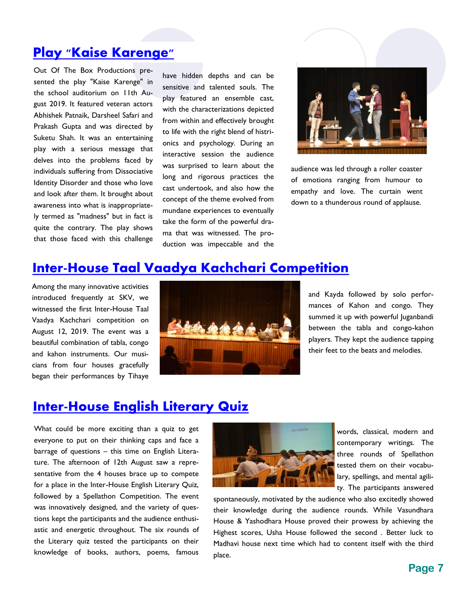#### **[Play "Kaise Karenge"](http://www.skvgwalior.org/news-coverage2019.php#collapse-3)**

Out Of The Box Productions presented the play "Kaise Karenge" in the school auditorium on 11th August 2019. It featured veteran actors Abhishek Patnaik, Darsheel Safari and Prakash Gupta and was directed by Suketu Shah. It was an entertaining play with a serious message that delves into the problems faced by individuals suffering from Dissociative Identity Disorder and those who love and look after them. It brought about awareness into what is inappropriately termed as "madness" but in fact is quite the contrary. The play shows that those faced with this challenge

have hidden depths and can be sensitive and talented souls. The play featured an ensemble cast, with the characterizations depicted from within and effectively brought to life with the right blend of histrionics and psychology. During an interactive session the audience was surprised to learn about the long and rigorous practices the cast undertook, and also how the concept of the theme evolved from mundane experiences to eventually take the form of the powerful drama that was witnessed. The production was impeccable and the



audience was led through a roller coaster of emotions ranging from humour to empathy and love. The curtain went down to a thunderous round of applause.

#### **[Inter-House Taal Vaadya Kachchari Competition](http://www.skvgwalior.org/news-coverage2019.php#collapse-3)**

Among the many innovative activities introduced frequently at SKV, we witnessed the first Inter-House Taal Vaadya Kachchari competition on August 12, 2019. The event was a beautiful combination of tabla, congo and kahon instruments. Our musicians from four houses gracefully began their performances by Tihaye



and Kayda followed by solo performances of Kahon and congo. They summed it up with powerful Juganbandi between the tabla and congo-kahon players. They kept the audience tapping their feet to the beats and melodies.

#### **[Inter-House English Literary Quiz](http://www.skvgwalior.org/news-coverage2019.php#collapse-3)**

What could be more exciting than a quiz to get everyone to put on their thinking caps and face a barrage of questions – this time on English Literature. The afternoon of 12th August saw a representative from the 4 houses brace up to compete for a place in the Inter-House English Literary Quiz, followed by a Spellathon Competition. The event was innovatively designed, and the variety of questions kept the participants and the audience enthusiastic and energetic throughout. The six rounds of the Literary quiz tested the participants on their knowledge of books, authors, poems, famous



words, classical, modern and contemporary writings. The three rounds of Spellathon tested them on their vocabulary, spellings, and mental agility. The participants answered

spontaneously, motivated by the audience who also excitedly showed their knowledge during the audience rounds. While Vasundhara House & Yashodhara House proved their prowess by achieving the Highest scores, Usha House followed the second . Better luck to Madhavi house next time which had to content itself with the third place.

#### **Page 7**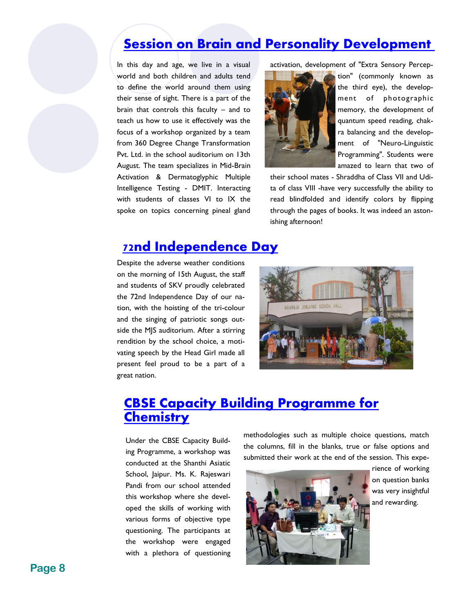#### **[Session on Brain and Personality Development](http://www.skvgwalior.org/news-coverage2019.php#collapse-3)**

In this day and age, we live in a visual world and both children and adults tend to define the world around them using their sense of sight. There is a part of the brain that controls this faculty – and to teach us how to use it effectively was the focus of a workshop organized by a team from 360 Degree Change Transformation Pvt. Ltd. in the school auditorium on 13th August. The team specializes in Mid-Brain Activation & Dermatoglyphic Multiple Intelligence Testing - DMIT. Interacting with students of classes VI to IX the spoke on topics concerning pineal gland

activation, development of "Extra Sensory Percep-



tion" (commonly known as the third eye), the development of photographic memory, the development of quantum speed reading, chakra balancing and the development of "Neuro-Linguistic Programming". Students were amazed to learn that two of

their school mates - Shraddha of Class VII and Udita of class VIII -have very successfully the ability to read blindfolded and identify colors by flipping through the pages of books. It was indeed an astonishing afternoon!

#### **[72nd Independence Day](http://www.skvgwalior.org/news-coverage2019.php#collapse-3)**

Despite the adverse weather conditions on the morning of 15th August, the staff and students of SKV proudly celebrated the 72nd Independence Day of our nation, with the hoisting of the tri-colour and the singing of patriotic songs outside the MJS auditorium. After a stirring rendition by the school choice, a motivating speech by the Head Girl made all present feel proud to be a part of a great nation.



#### **[CBSE Capacity Building Programme for](http://www.skvgwalior.org/news-coverage2019.php#collapse-3)  [Chemistry](http://www.skvgwalior.org/news-coverage2019.php#collapse-3)**

Under the CBSE Capacity Building Programme, a workshop was conducted at the Shanthi Asiatic School, Jaipur. Ms. K. Rajeswari Pandi from our school attended this workshop where she developed the skills of working with various forms of objective type questioning. The participants at the workshop were engaged with a plethora of questioning

methodologies such as multiple choice questions, match the columns, fill in the blanks, true or false options and submitted their work at the end of the session. This expe-



rience of working on question banks was very insightful and rewarding.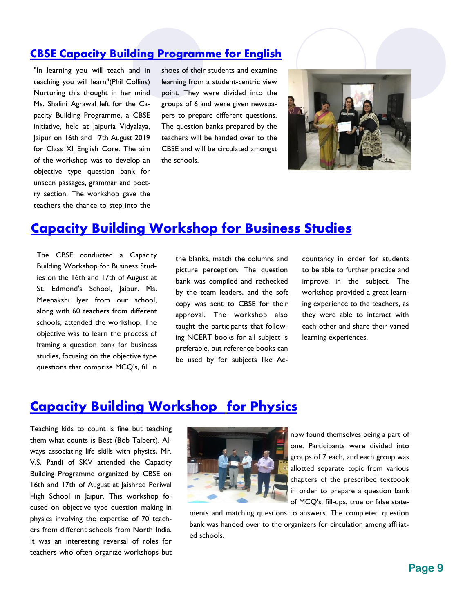#### **[CBSE Capacity Building Programme for English](http://www.skvgwalior.org/news-coverage2019.php#collapse-3)**

"In learning you will teach and in teaching you will learn"(Phil Collins) Nurturing this thought in her mind Ms. Shalini Agrawal left for the Capacity Building Programme, a CBSE initiative, held at Jaipuria Vidyalaya, Jaipur on 16th and 17th August 2019 for Class XI English Core. The aim of the workshop was to develop an objective type question bank for unseen passages, grammar and poetry section. The workshop gave the teachers the chance to step into the shoes of their students and examine learning from a student-centric view point. They were divided into the groups of 6 and were given newspapers to prepare different questions. The question banks prepared by the teachers will be handed over to the CBSE and will be circulated amongst the schools.



## **[Capacity Building Workshop for Business Studies](http://www.skvgwalior.org/news-coverage2019.php#collapse-3)**

The CBSE conducted a Capacity Building Workshop for Business Studies on the 16th and 17th of August at St. Edmond's School, Jaipur. Ms. Meenakshi Iyer from our school, along with 60 teachers from different schools, attended the workshop. The objective was to learn the process of framing a question bank for business studies, focusing on the objective type questions that comprise MCQ's, fill in

the blanks, match the columns and picture perception. The question bank was compiled and rechecked by the team leaders, and the soft copy was sent to CBSE for their approval. The workshop also taught the participants that following NCERT books for all subject is preferable, but reference books can be used by for subjects like Accountancy in order for students to be able to further practice and improve in the subject. The workshop provided a great learning experience to the teachers, as they were able to interact with each other and share their varied learning experiences.

#### **Capacity Building Workshop for Physics**

Teaching kids to count is fine but teaching them what counts is Best (Bob Talbert). Always associating life skills with physics, Mr. V.S. Pandi of SKV attended the Capacity Building Programme organized by CBSE on 16th and 17th of August at Jaishree Periwal High School in Jaipur. This workshop focused on objective type question making in physics involving the expertise of 70 teachers from different schools from North India. It was an interesting reversal of roles for teachers who often organize workshops but



now found themselves being a part of one. Participants were divided into groups of 7 each, and each group was allotted separate topic from various chapters of the prescribed textbook in order to prepare a question bank of MCQ's, fill-ups, true or false state-

ments and matching questions to answers. The completed question bank was handed over to the organizers for circulation among affiliated schools.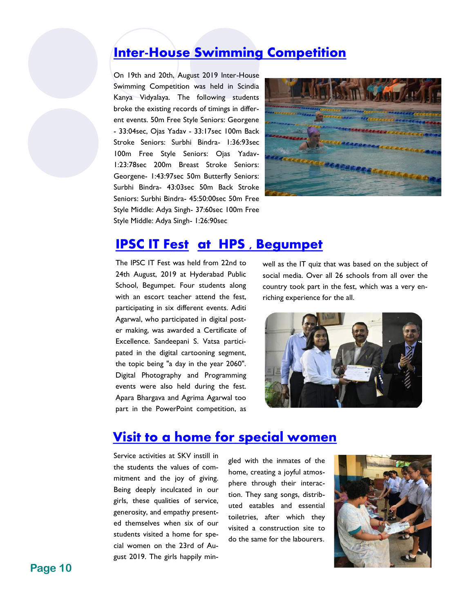## **Inter-House Swimming Competition**

On 19th and 20th, August 2019 Inter-House Swimming Competition was held in Scindia Kanya Vidyalaya. The following students broke the existing records of timings in different events. 50m Free Style Seniors: Georgene - 33:04sec, Ojas Yadav - 33:17sec 100m Back Stroke Seniors: Surbhi Bindra- 1:36:93sec 100m Free Style Seniors: Ojas Yadav-1:23:78sec 200m Breast Stroke Seniors: Georgene- 1:43:97sec 50m Butterfly Seniors: Surbhi Bindra- 43:03sec 50m Back Stroke Seniors: Surbhi Bindra- 45:50:00sec 50m Free Style Middle: Adya Singh- 37:60sec 100m Free Style Middle: Adya Singh- 1:26:90sec



#### **[IPSC IT Fest](http://www.skvgwalior.org/news-coverage2019.php#collapse-3) at HPS , Begumpet**

The IPSC IT Fest was held from 22nd to 24th August, 2019 at Hyderabad Public School, Begumpet. Four students along with an escort teacher attend the fest, participating in six different events. Aditi Agarwal, who participated in digital poster making, was awarded a Certificate of Excellence. Sandeepani S. Vatsa participated in the digital cartooning segment, the topic being "a day in the year 2060". Digital Photography and Programming events were also held during the fest. Apara Bhargava and Agrima Agarwal too part in the PowerPoint competition, as

well as the IT quiz that was based on the subject of social media. Over all 26 schools from all over the country took part in the fest, which was a very enriching experience for the all.



#### **[Visit to a home for special women](http://www.skvgwalior.org/news-coverage2019.php#collapse-3)**

Service activities at SKV instill in the students the values of commitment and the joy of giving. Being deeply inculcated in our girls, these qualities of service, generosity, and empathy presented themselves when six of our students visited a home for special women on the 23rd of August 2019. The girls happily min-

gled with the inmates of the home, creating a joyful atmosphere through their interaction. They sang songs, distributed eatables and essential toiletries, after which they visited a construction site to do the same for the labourers.

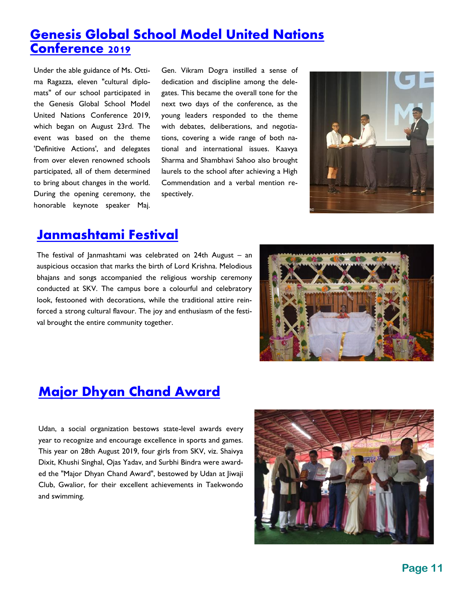# **Genesis Global School Model United Nations Conference 2019**

Under the able guidance of Ms. Ottima Ragazza, eleven "cultural diplomats" of our school participated in the Genesis Global School Model United Nations Conference 2019, which began on August 23rd. The event was based on the theme 'Definitive Actions', and delegates from over eleven renowned schools participated, all of them determined to bring about changes in the world. During the opening ceremony, the honorable keynote speaker Maj.

Gen. Vikram Dogra instilled a sense of dedication and discipline among the delegates. This became the overall tone for the next two days of the conference, as the young leaders responded to the theme with debates, deliberations, and negotiations, covering a wide range of both national and international issues. Kaavya Sharma and Shambhavi Sahoo also brought laurels to the school after achieving a High Commendation and a verbal mention respectively.



#### **[Janmashtami Festival](http://www.skvgwalior.org/news-coverage2019.php#collapse-3)**

The festival of Janmashtami was celebrated on 24th August – an auspicious occasion that marks the birth of Lord Krishna. Melodious bhajans and songs accompanied the religious worship ceremony conducted at SKV. The campus bore a colourful and celebratory look, festooned with decorations, while the traditional attire reinforced a strong cultural flavour. The joy and enthusiasm of the festival brought the entire community together.



# **Major Dhyan Chand Award**

Udan, a social organization bestows state-level awards every year to recognize and encourage excellence in sports and games. This year on 28th August 2019, four girls from SKV, viz. Shaivya Dixit, Khushi Singhal, Ojas Yadav, and Surbhi Bindra were awarded the "Major Dhyan Chand Award", bestowed by Udan at Jiwaji Club, Gwalior, for their excellent achievements in Taekwondo and swimming.